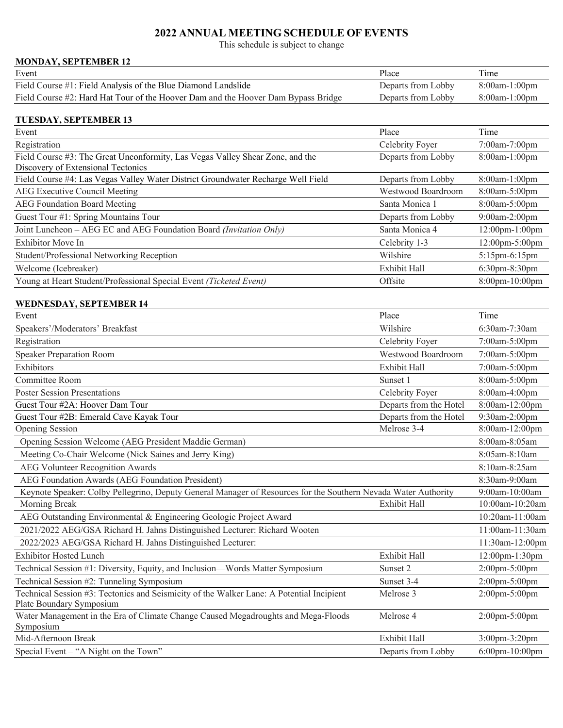# **2022 ANNUAL MEETING SCHEDULE OF EVENTS**

This schedule is subject to change

## **MONDAY, SEPTEMBER 12**

| Event                                                                             | Place              | Time             |
|-----------------------------------------------------------------------------------|--------------------|------------------|
| Field Course #1: Field Analysis of the Blue Diamond Landslide                     | Departs from Lobby | $8:00$ am-1:00pm |
| Field Course #2: Hard Hat Tour of the Hoover Dam and the Hoover Dam Bypass Bridge | Departs from Lobby | $8:00$ am-1:00pm |

#### **TUESDAY, SEPTEMBER 13**

| Event                                                                                                               | Place               | Time                 |
|---------------------------------------------------------------------------------------------------------------------|---------------------|----------------------|
| Registration                                                                                                        | Celebrity Foyer     | $7:00$ am- $7:00$ pm |
| Field Course #3: The Great Unconformity, Las Vegas Valley Shear Zone, and the<br>Discovery of Extensional Tectonics | Departs from Lobby  | 8:00am-1:00pm        |
| Field Course #4: Las Vegas Valley Water District Groundwater Recharge Well Field                                    | Departs from Lobby  | $8:00$ am-1:00pm     |
| AEG Executive Council Meeting                                                                                       | Westwood Boardroom  | 8:00am-5:00pm        |
| AEG Foundation Board Meeting                                                                                        | Santa Monica 1      | 8:00am-5:00pm        |
| Guest Tour #1: Spring Mountains Tour                                                                                | Departs from Lobby  | $9:00$ am-2:00pm     |
| Joint Luncheon – AEG EC and AEG Foundation Board (Invitation Only)                                                  | Santa Monica 4      | 12:00pm-1:00pm       |
| Exhibitor Move In                                                                                                   | Celebrity 1-3       | 12:00pm-5:00pm       |
| Student/Professional Networking Reception                                                                           | Wilshire            | $5:15$ pm-6:15pm     |
| Welcome (Icebreaker)                                                                                                | <b>Exhibit Hall</b> | $6:30$ pm $-8:30$ pm |
| Young at Heart Student/Professional Special Event (Ticketed Event)                                                  | Offsite             | 8:00pm-10:00pm       |

### **WEDNESDAY, SEPTEMBER 14**

| Event                                                                                                                | Place                  | Time            |
|----------------------------------------------------------------------------------------------------------------------|------------------------|-----------------|
| Speakers'/Moderators' Breakfast                                                                                      | Wilshire               | 6:30am-7:30am   |
| Registration                                                                                                         | Celebrity Foyer        | 7:00am-5:00pm   |
| <b>Speaker Preparation Room</b>                                                                                      | Westwood Boardroom     | 7:00am-5:00pm   |
| Exhibitors                                                                                                           | Exhibit Hall           | 7:00am-5:00pm   |
| Committee Room                                                                                                       | Sunset 1               | 8:00am-5:00pm   |
| <b>Poster Session Presentations</b>                                                                                  | Celebrity Foyer        | 8:00am-4:00pm   |
| Guest Tour #2A: Hoover Dam Tour                                                                                      | Departs from the Hotel | 8:00am-12:00pm  |
| Guest Tour #2B: Emerald Cave Kayak Tour                                                                              | Departs from the Hotel | 9:30am-2:00pm   |
| <b>Opening Session</b>                                                                                               | Melrose 3-4            | 8:00am-12:00pm  |
| Opening Session Welcome (AEG President Maddie German)                                                                |                        | 8:00am-8:05am   |
| Meeting Co-Chair Welcome (Nick Saines and Jerry King)                                                                |                        | 8:05am-8:10am   |
| <b>AEG Volunteer Recognition Awards</b>                                                                              |                        | 8:10am-8:25am   |
| AEG Foundation Awards (AEG Foundation President)                                                                     |                        | 8:30am-9:00am   |
| Keynote Speaker: Colby Pellegrino, Deputy General Manager of Resources for the Southern Nevada Water Authority       |                        | 9:00am-10:00am  |
| Morning Break                                                                                                        | Exhibit Hall           | 10:00am-10:20am |
| AEG Outstanding Environmental & Engineering Geologic Project Award                                                   |                        | 10:20am-11:00am |
| 2021/2022 AEG/GSA Richard H. Jahns Distinguished Lecturer: Richard Wooten                                            |                        | 11:00am-11:30am |
| 2022/2023 AEG/GSA Richard H. Jahns Distinguished Lecturer:                                                           |                        | 11:30am-12:00pm |
| <b>Exhibitor Hosted Lunch</b>                                                                                        | Exhibit Hall           | 12:00pm-1:30pm  |
| Technical Session #1: Diversity, Equity, and Inclusion—Words Matter Symposium                                        | Sunset 2               | 2:00pm-5:00pm   |
| Technical Session #2: Tunneling Symposium                                                                            | Sunset 3-4             | 2:00pm-5:00pm   |
| Technical Session #3: Tectonics and Seismicity of the Walker Lane: A Potential Incipient<br>Plate Boundary Symposium | Melrose 3              | 2:00pm-5:00pm   |
| Water Management in the Era of Climate Change Caused Megadroughts and Mega-Floods<br>Symposium                       | Melrose 4              | 2:00pm-5:00pm   |
| Mid-Afternoon Break                                                                                                  | Exhibit Hall           | 3:00pm-3:20pm   |
| Special Event - "A Night on the Town"                                                                                | Departs from Lobby     | 6:00pm-10:00pm  |